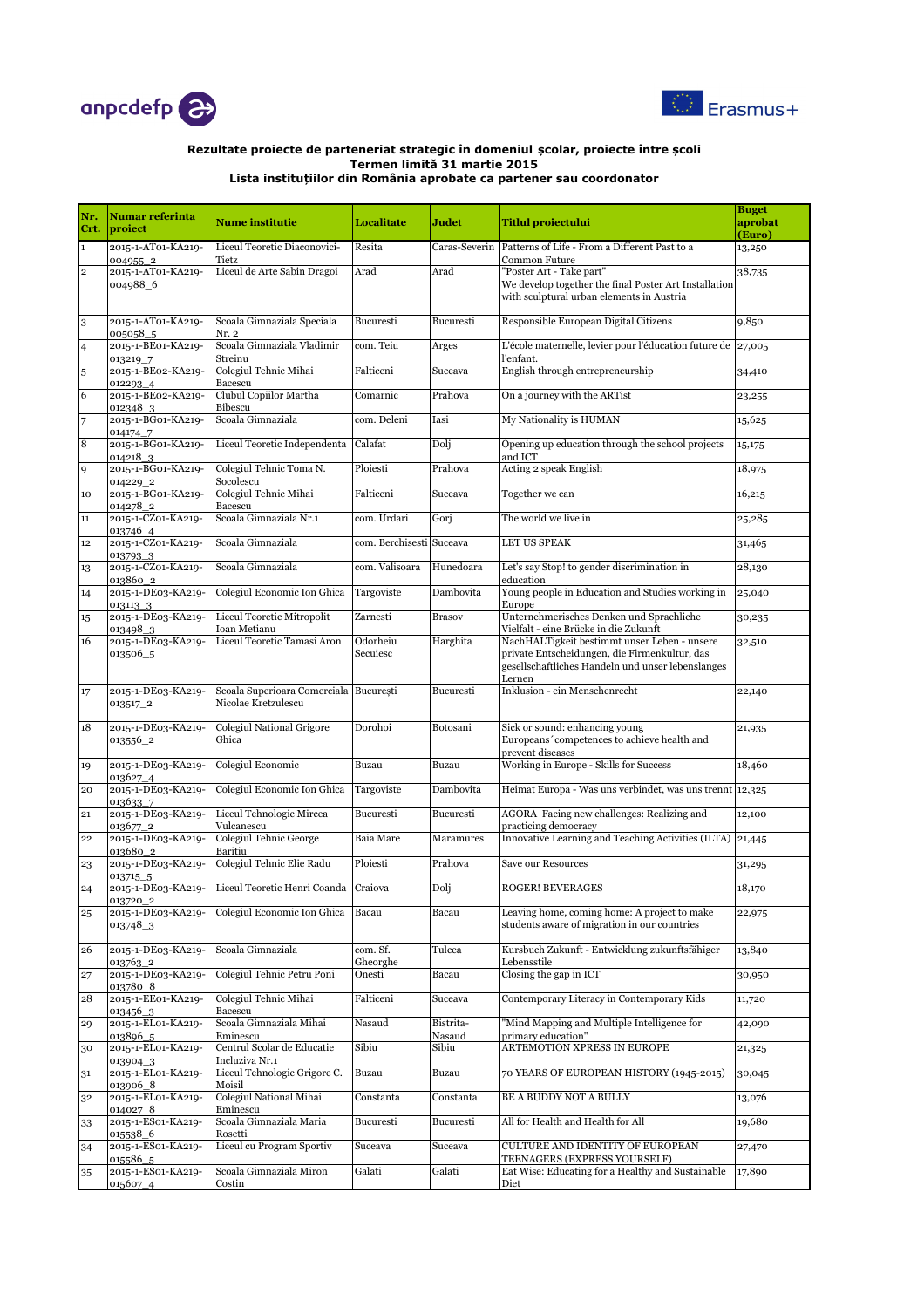



| Nr.<br>Crt.             | Numar referinta<br>proiect     | <b>Nume institutie</b>                              | <b>Localitate</b>        | Judet               | <b>Titlul proiectului</b>                                                                                                                                    | <b>Buget</b><br>aprobat<br>(Euro) |
|-------------------------|--------------------------------|-----------------------------------------------------|--------------------------|---------------------|--------------------------------------------------------------------------------------------------------------------------------------------------------------|-----------------------------------|
| $\mathbf 1$             | 2015-1-AT01-KA219-<br>004955_2 | Liceul Teoretic Diaconovici-<br>Tietz               | Resita                   | Caras-Severin       | Patterns of Life - From a Different Past to a<br>Common Future                                                                                               | 13,250                            |
| $\overline{\mathbf{2}}$ | 2015-1-AT01-KA219-<br>004988_6 | Liceul de Arte Sabin Dragoi                         | Arad                     | Arad                | "Poster Art - Take part"<br>We develop together the final Poster Art Installation<br>with sculptural urban elements in Austria                               | 38,735                            |
| 3                       | 2015-1-AT01-KA219-<br>005058_5 | Scoala Gimnaziala Speciala<br>Nr. 2                 | Bucuresti                | Bucuresti           | Responsible European Digital Citizens                                                                                                                        | 9,850                             |
| $\overline{4}$          | 2015-1-BE01-KA219-<br>013219 7 | Scoala Gimnaziala Vladimir<br>Streinu               | com. Teiu                | Arges               | L'école maternelle, levier pour l'éducation future de<br>l'enfant.                                                                                           | 27,005                            |
| 5                       | 2015-1-BE02-KA219-<br>012293_4 | Colegiul Tehnic Mihai<br>Bacescu                    | Falticeni                | Suceava             | English through entrepreneurship                                                                                                                             | 34,410                            |
| 6                       | 2015-1-BE02-KA219-<br>012348_3 | Clubul Copiilor Martha<br>Bibescu                   | Comarnic                 | Prahova             | On a journey with the ARTist                                                                                                                                 | 23,255                            |
|                         | 2015-1-BG01-KA219-<br>014174_7 | Scoala Gimnaziala                                   | com. Deleni              | Iasi                | My Nationality is HUMAN                                                                                                                                      | 15,625                            |
| 8                       | 2015-1-BG01-KA219-<br>0142183  | Liceul Teoretic Independenta                        | Calafat                  | Dolj                | Opening up education through the school projects<br>and ICT                                                                                                  | 15,175                            |
| 9                       | 2015-1-BG01-KA219-<br>014229_2 | Colegiul Tehnic Toma N.<br>Socolescu                | Ploiesti                 | Prahova             | Acting 2 speak English                                                                                                                                       | 18,975                            |
| 10                      | 2015-1-BG01-KA219-<br>014278_2 | Colegiul Tehnic Mihai<br>Bacescu                    | Falticeni                | Suceava             | Together we can                                                                                                                                              | 16,215                            |
| 11                      | 2015-1-CZ01-KA219-<br>013746 4 | Scoala Gimnaziala Nr.1                              | com. Urdari              | Gorj                | The world we live in                                                                                                                                         | 25,285                            |
| 12                      | 2015-1-CZ01-KA219-<br>013793 3 | Scoala Gimnaziala                                   | com. Berchisesti Suceava |                     | <b>LET US SPEAK</b>                                                                                                                                          | 31,465                            |
| 13                      | 2015-1-CZ01-KA219-<br>013860_2 | Scoala Gimnaziala                                   | com. Valisoara           | Hunedoara           | Let's say Stop! to gender discrimination in<br>education                                                                                                     | 28,130                            |
| 14                      | 2015-1-DE03-KA219-<br>0131133  | Colegiul Economic Ion Ghica                         | Targoviste               | Dambovita           | Young people in Education and Studies working in<br>Europe                                                                                                   | 25,040                            |
| 15                      | 2015-1-DE03-KA219-<br>013498 3 | Liceul Teoretic Mitropolit<br>Ioan Metianu          | Zarnesti                 | <b>Brasov</b>       | Unternehmerisches Denken und Sprachliche<br>Vielfalt - eine Brücke in die Zukunft                                                                            | 30,235                            |
| 16                      | 2015-1-DE03-KA219-<br>013506 5 | Liceul Teoretic Tamasi Aron                         | Odorheiu<br>Secuiesc     | Harghita            | NachHALTigkeit bestimmt unser Leben - unsere<br>private Entscheidungen, die Firmenkultur, das<br>gesellschaftliches Handeln und unser lebenslanges<br>Lernen | 32,510                            |
| 17                      | 2015-1-DE03-KA219-<br>013517_2 | Scoala Superioara Comerciala<br>Nicolae Kretzulescu | București                | Bucuresti           | Inklusion - ein Menschenrecht                                                                                                                                | 22,140                            |
| 18                      | 2015-1-DE03-KA219-<br>013556_2 | <b>Colegiul National Grigore</b><br>Ghica           | Dorohoi                  | Botosani            | Sick or sound: enhancing young<br>Europeans' competences to achieve health and<br>prevent diseases                                                           | 21,935                            |
| 19                      | 2015-1-DE03-KA219-<br>013627_4 | Colegiul Economic                                   | Buzau                    | Buzau               | Working in Europe - Skills for Success                                                                                                                       | 18,460                            |
| 20                      | 2015-1-DE03-KA219-<br>013633_7 | Colegiul Economic Ion Ghica                         | Targoviste               | Dambovita           | Heimat Europa - Was uns verbindet, was uns trennt 12,325                                                                                                     |                                   |
| 21                      | 2015-1-DE03-KA219-<br>013677_2 | Liceul Tehnologic Mircea<br>Vulcanescu              | Bucuresti                | Bucuresti           | AGORA Facing new challenges: Realizing and<br>practicing democracy                                                                                           | 12,100                            |
| 22                      | 2015-1-DE03-KA219-<br>013680_2 | Colegiul Tehnic George<br>Baritiu                   | Baia Mare                | Maramures           | Innovative Learning and Teaching Activities (ILTA)                                                                                                           | 21,445                            |
| 23                      | 2015-1-DE03-KA219-<br>013715_5 | Colegiul Tehnic Elie Radu                           | Ploiesti                 | Prahova             | Save our Resources                                                                                                                                           | 31,295                            |
| 24                      | 2015-1-DE03-KA219-<br>013720_2 | Liceul Teoretic Henri Coanda                        | Craiova                  | Dolj                | <b>ROGER! BEVERAGES</b>                                                                                                                                      | 18,170                            |
| 25                      | 2015-1-DE03-KA219-<br>013748_3 | Colegiul Economic Ion Ghica                         | Bacau                    | Bacau               | Leaving home, coming home: A project to make<br>students aware of migration in our countries                                                                 | 22,975                            |
| 26                      | 2015-1-DE03-KA219-<br>013763_2 | Scoala Gimnaziala                                   | com. Sf.<br>Gheorghe     | Tulcea              | Kursbuch Zukunft - Entwicklung zukunftsfähiger<br>Lebensstile                                                                                                | 13,840                            |
| 27                      | 2015-1-DE03-KA219-<br>013780_8 | Colegiul Tehnic Petru Poni                          | Onesti                   | Bacau               | Closing the gap in ICT                                                                                                                                       | 30,950                            |
| 28                      | 2015-1-EE01-KA219-<br>013456_3 | Colegiul Tehnic Mihai<br>Bacescu                    | Falticeni                | Suceava             | Contemporary Literacy in Contemporary Kids                                                                                                                   | 11,720                            |
| 29                      | 2015-1-EL01-KA219-<br>013896 5 | Scoala Gimnaziala Mihai<br>Eminescu                 | Nasaud                   | Bistrita-<br>Nasaud | 'Mind Mapping and Multiple Intelligence for<br>primary education"                                                                                            | 42,090                            |
| 30                      | 2015-1-EL01-KA219-<br>013904_3 | Centrul Scolar de Educatie<br>Incluziva Nr.1        | Sibiu                    | Sibiu               | ARTEMOTION XPRESS IN EUROPE                                                                                                                                  | 21,325                            |
| 31                      | 2015-1-EL01-KA219-<br>013906_8 | Liceul Tehnologic Grigore C.<br>Moisil              | Buzau                    | Buzau               | 70 YEARS OF EUROPEAN HISTORY (1945-2015)                                                                                                                     | 30,045                            |
| 32                      | 2015-1-EL01-KA219-<br>014027_8 | Colegiul National Mihai<br>Eminescu                 | Constanta                | Constanta           | <b>BE A BUDDY NOT A BULLY</b>                                                                                                                                | 13,076                            |
| 33                      | 2015-1-ES01-KA219-<br>015538_6 | Scoala Gimnaziala Maria<br>Rosetti                  | Bucuresti                | Bucuresti           | All for Health and Health for All                                                                                                                            | 19,680                            |
| 34                      | 2015-1-ES01-KA219-<br>015586_5 | Liceul cu Program Sportiv                           | Suceava                  | Suceava             | CULTURE AND IDENTITY OF EUROPEAN<br>TEENAGERS (EXPRESS YOURSELF)                                                                                             | 27,470                            |
| 35                      | 2015-1-ES01-KA219-<br>015607_4 | Scoala Gimnaziala Miron<br>Costin                   | Galati                   | Galati              | Eat Wise: Educating for a Healthy and Sustainable<br>Diet                                                                                                    | 17,890                            |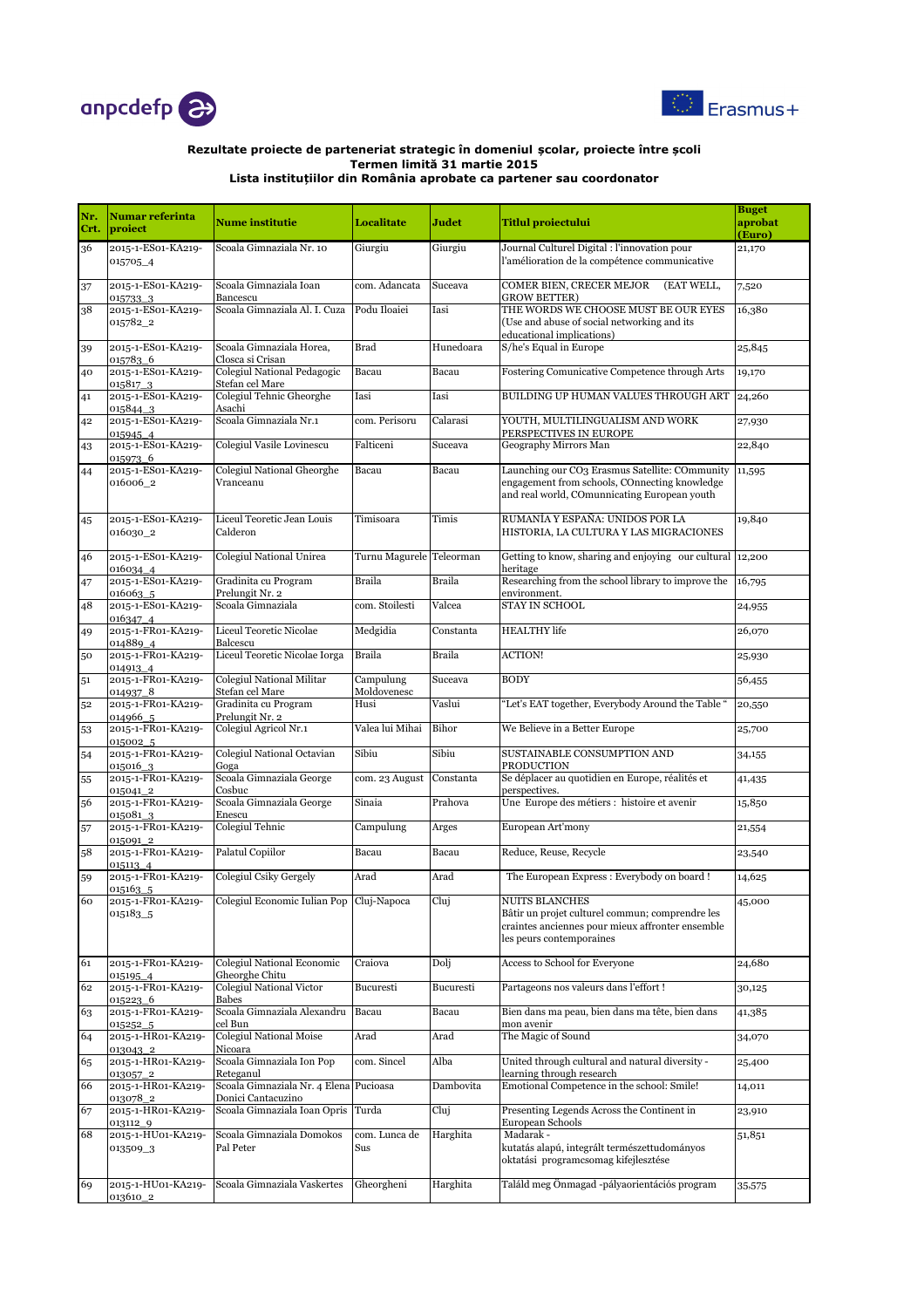



| Nr.<br>Crt. | <b>Numar referinta</b><br>proiect | <b>Nume institutie</b>                                       | <b>Localitate</b>        | Judet         | <b>Titlul proiectului</b>                                                                                                                                   | <b>Buget</b><br>aprobat<br>(Euro) |
|-------------|-----------------------------------|--------------------------------------------------------------|--------------------------|---------------|-------------------------------------------------------------------------------------------------------------------------------------------------------------|-----------------------------------|
| 36          | 2015-1-ES01-KA219-<br>015705_4    | Scoala Gimnaziala Nr. 10                                     | Giurgiu                  | Giurgiu       | Journal Culturel Digital : l'innovation pour<br>l'amélioration de la compétence communicative                                                               | 21,170                            |
| 37          | 2015-1-ES01-KA219-<br>015733_3    | Scoala Gimnaziala Ioan<br>Bancescu                           | com. Adancata            | Suceava       | COMER BIEN, CRECER MEJOR<br>(EAT WELL,<br><b>GROW BETTER)</b>                                                                                               | 7,520                             |
| 38          | 2015-1-ES01-KA219-<br>015782_2    | Scoala Gimnaziala Al. I. Cuza                                | Podu Iloaiei             | Iasi          | THE WORDS WE CHOOSE MUST BE OUR EYES<br>(Use and abuse of social networking and its<br>educational implications)                                            | 16,380                            |
| 39          | 2015-1-ES01-KA219-<br>0157836     | Scoala Gimnaziala Horea,<br>Closca si Crisan                 | <b>Brad</b>              | Hunedoara     | S/he's Equal in Europe                                                                                                                                      | 25,845                            |
| 40          | 2015-1-ES01-KA219-<br>0158173     | Colegiul National Pedagogic<br>Stefan cel Mare               | Bacau                    | Bacau         | Fostering Comunicative Competence through Arts                                                                                                              | 19,170                            |
| 41          | 2015-1-ES01-KA219-<br>015844_3    | Colegiul Tehnic Gheorghe<br>Asachi                           | Iasi                     | Iasi          | BUILDING UP HUMAN VALUES THROUGH ART                                                                                                                        | 24,260                            |
| 42          | 2015-1-ES01-KA219-<br>015945_4    | Scoala Gimnaziala Nr.1                                       | com. Perisoru            | Calarasi      | YOUTH, MULTILINGUALISM AND WORK<br>PERSPECTIVES IN EUROPE                                                                                                   | 27,930                            |
| 43          | 2015-1-ES01-KA219-<br>015973_6    | Colegiul Vasile Lovinescu                                    | Falticeni                | Suceava       | Geography Mirrors Man                                                                                                                                       | 22,840                            |
| 44          | 2015-1-ES01-KA219-<br>016006 2    | Colegiul National Gheorghe<br>Vranceanu                      | Bacau                    | Bacau         | Launching our CO <sub>3</sub> Erasmus Satellite: COmmunity<br>engagement from schools, COnnecting knowledge<br>and real world, COmunnicating European youth | 11,595                            |
| 45          | 2015-1-ES01-KA219-<br>016030_2    | Liceul Teoretic Jean Louis<br>Calderon                       | Timisoara                | Timis         | RUMANÍA Y ESPAÑA: UNIDOS POR LA<br>HISTORIA, LA CULTURA Y LAS MIGRACIONES                                                                                   | 19,840                            |
| 46          | 2015-1-ES01-KA219-<br>016034_4    | <b>Colegiul National Unirea</b>                              | Turnu Magurele Teleorman |               | Getting to know, sharing and enjoying our cultural<br>heritage                                                                                              | 12,200                            |
| 47          | 2015-1-ES01-KA219-<br>0160635     | Gradinita cu Program<br>Prelungit Nr. 2                      | <b>Braila</b>            | <b>Braila</b> | Researching from the school library to improve the<br>environment.                                                                                          | 16,795                            |
| 48          | 2015-1-ES01-KA219-<br>016347_4    | Scoala Gimnaziala                                            | com. Stoilesti           | Valcea        | <b>STAY IN SCHOOL</b>                                                                                                                                       | 24,955                            |
| 49          | 2015-1-FR01-KA219-<br>014889 4    | Liceul Teoretic Nicolae<br>Balcescu                          | Medgidia                 | Constanta     | <b>HEALTHY</b> life                                                                                                                                         | 26,070                            |
| 50          | 2015-1-FR01-KA219-<br>014913_4    | Liceul Teoretic Nicolae Iorga                                | <b>Braila</b>            | <b>Braila</b> | <b>ACTION!</b>                                                                                                                                              | 25,930                            |
| 51          | 2015-1-FR01-KA219-<br>014937 8    | <b>Colegiul National Militar</b><br>Stefan cel Mare          | Campulung<br>Moldovenesc | Suceava       | <b>BODY</b>                                                                                                                                                 | 56,455                            |
| 52          | 2015-1-FR01-KA219-<br>014966_5    | Gradinita cu Program<br>Prelungit Nr. 2                      | Husi                     | Vaslui        | "Let's EAT together, Everybody Around the Table "                                                                                                           | 20,550                            |
| 53          | 2015-1-FR01-KA219-<br>015002_5    | Colegiul Agricol Nr.1                                        | Valea lui Mihai          | Bihor         | We Believe in a Better Europe                                                                                                                               | 25,700                            |
| 54          | 2015-1-FR01-KA219-<br>015016_3    | Colegiul National Octavian<br>Goga                           | Sibiu                    | Sibiu         | SUSTAINABLE CONSUMPTION AND<br>PRODUCTION                                                                                                                   | 34,155                            |
| 55          | 2015-1-FR01-KA219-<br>015041_2    | Scoala Gimnaziala George<br>Cosbuc                           | com. 23 August           | Constanta     | Se déplacer au quotidien en Europe, réalités et<br>perspectives.                                                                                            | 41,435                            |
| 56          | 2015-1-FR01-KA219-<br>0150813     | Scoala Gimnaziala George<br>Enescu                           | Sinaia                   | Prahova       | Une Europe des métiers : histoire et avenir                                                                                                                 | 15,850                            |
| 57          | 2015-1-FR01-KA219-<br>015091_2    | Colegiul Tehnic                                              | Campulung                | Arges         | European Art'mony                                                                                                                                           | 21,554                            |
| 58          | 2015-1-FR01-KA219-<br>015113_4    | Palatul Copiilor                                             | Bacau                    | Bacau         | Reduce, Reuse, Recycle                                                                                                                                      | 23,540                            |
| 59          | 2015-1-FR01-KA219-<br>015163_5    | <b>Colegiul Csiky Gergely</b>                                | Arad                     | Arad          | The European Express: Everybody on board!                                                                                                                   | 14,625                            |
| 60          | 2015-1-FR01-KA219-<br>015183_5    | Colegiul Economic Iulian Pop Cluj-Napoca                     |                          | Cluj          | <b>NUITS BLANCHES</b><br>Bâtir un projet culturel commun; comprendre les<br>craintes anciennes pour mieux affronter ensemble<br>les peurs contemporaines    | 45,000                            |
| 61          | 2015-1-FR01-KA219-<br>015195_4    | Colegiul National Economic<br>Gheorghe Chitu                 | Craiova                  | Dolj          | Access to School for Everyone                                                                                                                               | 24,680                            |
| 62          | 2015-1-FR01-KA219-<br>015223_6    | Colegiul National Victor<br><b>Babes</b>                     | Bucuresti                | Bucuresti     | Partageons nos valeurs dans l'effort !                                                                                                                      | 30,125                            |
| 63          | 2015-1-FR01-KA219-<br>015252 5    | Scoala Gimnaziala Alexandru<br>cel Bun                       | Bacau                    | Bacau         | Bien dans ma peau, bien dans ma tête, bien dans<br>mon avenir                                                                                               | 41,385                            |
| 64          | 2015-1-HR01-KA219-<br>013043_2    | <b>Colegiul National Moise</b><br>Nicoara                    | Arad                     | Arad          | The Magic of Sound                                                                                                                                          | 34,070                            |
| 65          | 2015-1-HR01-KA219-<br>013057_2    | Scoala Gimnaziala Ion Pop<br>Reteganul                       | com. Sincel              | Alba          | United through cultural and natural diversity -<br>learning through research                                                                                | 25,400                            |
| 66          | 2015-1-HR01-KA219-<br>013078_2    | Scoala Gimnaziala Nr. 4 Elena Pucioasa<br>Donici Cantacuzino |                          | Dambovita     | Emotional Competence in the school: Smile!                                                                                                                  | 14,011                            |
| 67          | 2015-1-HR01-KA219-<br>013112_9    | Scoala Gimnaziala Ioan Opris                                 | Turda                    | Cluj          | Presenting Legends Across the Continent in<br>European Schools                                                                                              | 23,910                            |
| 68          | 2015-1-HU01-KA219-<br>013509_3    | Scoala Gimnaziala Domokos<br>Pal Peter                       | com. Lunca de<br>Sus     | Harghita      | Madarak -<br>kutatás alapú, integrált természettudományos<br>oktatási programcsomag kifejlesztése                                                           | 51,851                            |
| 69          | 2015-1-HU01-KA219-<br>013610_2    | Scoala Gimnaziala Vaskertes                                  | Gheorgheni               | Harghita      | Találd meg Önmagad -pályaorientációs program                                                                                                                | 35,575                            |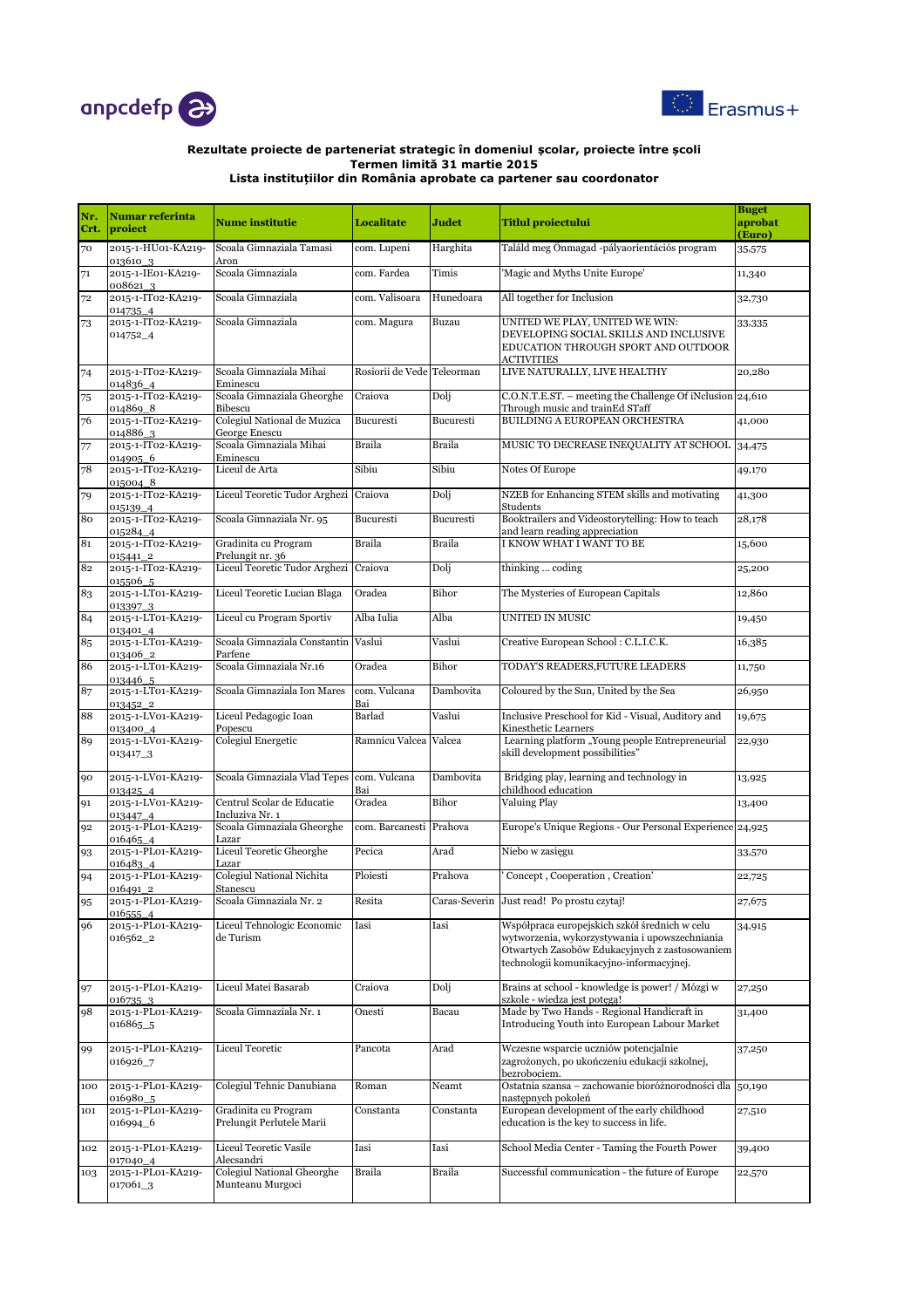



| Nr.<br>Crt. | <b>Numar referinta</b><br>proiect | <b>Nume institutie</b>                            | <b>Localitate</b>          | Judet         | <b>Titlul proiectului</b>                                                                                                                                                                     | <b>Buget</b><br>aprobat<br>(Euro) |
|-------------|-----------------------------------|---------------------------------------------------|----------------------------|---------------|-----------------------------------------------------------------------------------------------------------------------------------------------------------------------------------------------|-----------------------------------|
| 70          | 2015-1-HU01-KA219-<br>0136103     | Scoala Gimnaziala Tamasi<br>Aron                  | com. Lupeni                | Harghita      | Találd meg Önmagad -pályaorientációs program                                                                                                                                                  | 35,575                            |
| 71          | 2015-1-IE01-KA219-<br>008621_3    | Scoala Gimnaziala                                 | com. Fardea                | Timis         | 'Magic and Myths Unite Europe'                                                                                                                                                                | 11,340                            |
| 72          | 2015-1-IT02-KA219-<br>014735_4    | Scoala Gimnaziala                                 | com. Valisoara             | Hunedoara     | All together for Inclusion                                                                                                                                                                    | 32,730                            |
| 73          | 2015-1-IT02-KA219-<br>014752_4    | Scoala Gimnaziala                                 | com. Magura                | Buzau         | UNITED WE PLAY, UNITED WE WIN:<br>DEVELOPING SOCIAL SKILLS AND INCLUSIVE<br>EDUCATION THROUGH SPORT AND OUTDOOR<br><b>ACTIVITIES</b>                                                          | 33,335                            |
| 74          | 2015-1-IT02-KA219-<br>014836_4    | Scoala Gimnaziala Mihai<br>Eminescu               | Rosiorii de Vede Teleorman |               | LIVE NATURALLY, LIVE HEALTHY                                                                                                                                                                  | 20,280                            |
| 75          | 2015-1-IT02-KA219-<br>014869 8    | Scoala Gimnaziala Gheorghe<br>Bibescu             | Craiova                    | Dolj          | C.O.N.T.E.ST. – meeting the Challenge Of iNclusion 24,610<br>Through music and trainEd STaff                                                                                                  |                                   |
| 76          | 2015-1-IT02-KA219-<br>014886_3    | Colegiul National de Muzica<br>George Enescu      | Bucuresti                  | Bucuresti     | BUILDING A EUROPEAN ORCHESTRA                                                                                                                                                                 | 41,000                            |
| 77          | 2015-1-IT02-KA219-<br>0149056     | Scoala Gimnaziala Mihai<br>Eminescu               | Braila                     | <b>Braila</b> | MUSIC TO DECREASE INEQUALITY AT SCHOOL                                                                                                                                                        | 34,475                            |
| 78          | 2015-1-IT02-KA219-<br>015004_8    | Liceul de Arta                                    | Sibiu                      | Sibiu         | Notes Of Europe                                                                                                                                                                               | 49,170                            |
| 79          | 2015-1-IT02-KA219-<br>015139_4    | Liceul Teoretic Tudor Arghezi Craiova             |                            | Dolj          | NZEB for Enhancing STEM skills and motivating<br>Students                                                                                                                                     | 41,300                            |
| 80          | 2015-1-IT02-KA219-<br>015284_4    | Scoala Gimnaziala Nr. 95                          | Bucuresti                  | Bucuresti     | Booktrailers and Videostorytelling: How to teach<br>and learn reading appreciation                                                                                                            | 28,178                            |
| 81          | 2015-1-IT02-KA219-<br>015441_2    | Gradinita cu Program<br>Prelungit nr. 36          | Braila                     | <b>Braila</b> | I KNOW WHAT I WANT TO BE                                                                                                                                                                      | 15,600                            |
| 82          | 2015-1-IT02-KA219-<br>015506 5    | Liceul Teoretic Tudor Arghezi                     | Craiova                    | Dolj          | thinking  coding                                                                                                                                                                              | 25,200                            |
| 83          | 2015-1-LT01-KA219-<br>0133973     | Liceul Teoretic Lucian Blaga                      | Oradea                     | Bihor         | The Mysteries of European Capitals                                                                                                                                                            | 12,860                            |
| 84          | 2015-1-LT01-KA219-<br>013401_4    | Liceul cu Program Sportiv                         | Alba Iulia                 | Alba          | <b>UNITED IN MUSIC</b>                                                                                                                                                                        | 19,450                            |
| 85          | 2015-1-LT01-KA219-<br>013406_2    | Scoala Gimnaziala Constantin Vaslui<br>Parfene    |                            | Vaslui        | Creative European School: C.L.I.C.K.                                                                                                                                                          | 16,385                            |
| 86          | 2015-1-LT01-KA219-<br>013446_5    | Scoala Gimnaziala Nr.16                           | Oradea                     | Bihor         | TODAY'S READERS, FUTURE LEADERS                                                                                                                                                               | 11,750                            |
| 87          | 2015-1-LT01-KA219-<br>013452_2    | Scoala Gimnaziala Ion Mares                       | com. Vulcana<br>Bai        | Dambovita     | Coloured by the Sun, United by the Sea                                                                                                                                                        | 26,950                            |
| 88          | 2015-1-LV01-KA219-<br>013400_4    | Liceul Pedagogic Ioan<br>Popescu                  | Barlad                     | Vaslui        | Inclusive Preschool for Kid - Visual, Auditory and<br>Kinesthetic Learners                                                                                                                    | 19,675                            |
| 89          | 2015-1-LV01-KA219-<br>013417_3    | Colegiul Energetic                                | Ramnicu Valcea Valcea      |               | Learning platform "Young people Entrepreneurial<br>skill development possibilities"                                                                                                           | 22,930                            |
| 90          | 2015-1-LV01-KA219-<br>013425_4    | Scoala Gimnaziala Vlad Tepes com. Vulcana         | Bai                        | Dambovita     | Bridging play, learning and technology in<br>childhood education                                                                                                                              | 13,925                            |
| 91          | 2015-1-LV01-KA219-<br>013447_4    | Centrul Scolar de Educatie<br>Incluziva Nr. 1     | Oradea                     | Bihor         | Valuing Play                                                                                                                                                                                  | 13,400                            |
| 92          | 2015-1-PL01-KA219-<br>016465_4    | Scoala Gimnaziala Gheorghe<br>Lazar               | com. Barcanesti Prahova    |               | Europe's Unique Regions - Our Personal Experience                                                                                                                                             | 24,925                            |
| 93          | 2015-1-PL01-KA219-<br>016483_4    | Liceul Teoretic Gheorghe<br>Lazar                 | Pecica                     | Arad          | Niebo w zasięgu                                                                                                                                                                               | 33,570                            |
| 94          | 2015-1-PL01-KA219-<br>016491_2    | Colegiul National Nichita<br>Stanescu             | Ploiesti                   | Prahova       | Concept, Cooperation, Creation'                                                                                                                                                               | 22,725                            |
| 95          | 2015-1-PL01-KA219-<br>016555 4    | Scoala Gimnaziala Nr. 2                           | Resita                     |               | Caras-Severin Just read! Po prostu czytaj!                                                                                                                                                    | 27,675                            |
| 96          | 2015-1-PL01-KA219-<br>016562_2    | Liceul Tehnologic Economic<br>de Turism           | Iasi                       | Iasi          | Współpraca europejskich szkół średnich w celu<br>wytworzenia, wykorzystywania i upowszechniania<br>Otwartych Zasobów Edukacyjnych z zastosowaniem<br>technologii komunikacyjno-informacyjnej. | 34,915                            |
| 97          | 2015-1-PL01-KA219-<br>016735 3    | Liceul Matei Basarab                              | Craiova                    | Dolj          | Brains at school - knowledge is power! / Mózgi w<br>szkole - wiedza jest potęgą!                                                                                                              | 27,250                            |
| 98          | 2015-1-PL01-KA219-<br>016865_5    | Scoala Gimnaziala Nr. 1                           | Onesti                     | Bacau         | Made by Two Hands - Regional Handicraft in<br>Introducing Youth into European Labour Market                                                                                                   | 31,400                            |
| 99          | 2015-1-PL01-KA219-<br>016926_7    | <b>Liceul Teoretic</b>                            | Pancota                    | Arad          | Wczesne wsparcie uczniów potencjalnie<br>zagrożonych, po ukończeniu edukacji szkolnej,<br>bezrobociem.                                                                                        | 37,250                            |
| 100         | 2015-1-PL01-KA219-<br>016980_5    | Colegiul Tehnic Danubiana                         | Roman                      | Neamt         | Ostatnia szansa – zachowanie bioróżnorodności dla<br>następnych pokoleń                                                                                                                       | 50,190                            |
| 101         | 2015-1-PL01-KA219-<br>016994_6    | Gradinita cu Program<br>Prelungit Perlutele Marii | Constanta                  | Constanta     | European development of the early childhood<br>education is the key to success in life.                                                                                                       | 27,510                            |
| 102         | 2015-1-PL01-KA219-<br>017040_4    | Liceul Teoretic Vasile<br>Alecsandri              | Iasi                       | Iasi          | School Media Center - Taming the Fourth Power                                                                                                                                                 | 39,400                            |
| 103         | 2015-1-PL01-KA219-<br>017061_3    | Colegiul National Gheorghe<br>Munteanu Murgoci    | Braila                     | <b>Braila</b> | Successful communication - the future of Europe                                                                                                                                               | 22,570                            |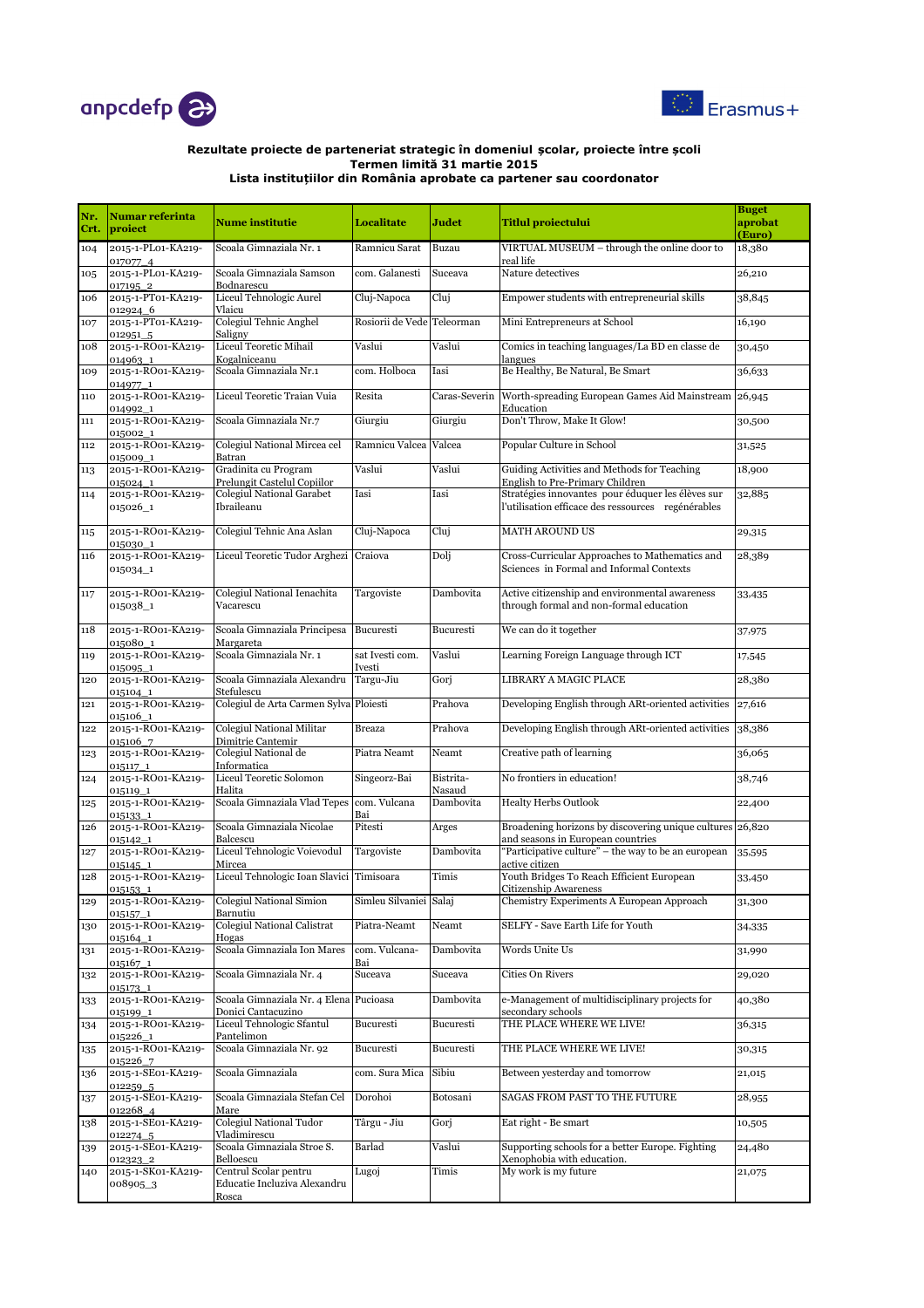



| Nr.<br>Crt. | <b>Numar referinta</b><br>proiect  | <b>Nume institutie</b>                                         | Localitate                    | Judet               | <b>Titlul proiectului</b>                                                                               | <b>Buget</b><br>aprobat<br>(Euro) |
|-------------|------------------------------------|----------------------------------------------------------------|-------------------------------|---------------------|---------------------------------------------------------------------------------------------------------|-----------------------------------|
| 104         | 2015-1-PL01-KA219-<br>017077_4     | Scoala Gimnaziala Nr. 1                                        | Ramnicu Sarat                 | Buzau               | VIRTUAL MUSEUM - through the online door to<br>real life                                                | 18,380                            |
| 105         | 2015-1-PL01-KA219-<br>017195_2     | Scoala Gimnaziala Samson<br>Bodnarescu                         | com. Galanesti                | Suceava             | Nature detectives                                                                                       | 26,210                            |
| 106         | 2015-1-PT01-KA219-<br>012924 6     | Liceul Tehnologic Aurel<br>Vlaicu                              | Cluj-Napoca                   | Cluj                | Empower students with entrepreneurial skills                                                            | 38,845                            |
| 107         | 2015-1-PT01-KA219-<br>012951 5     | Colegiul Tehnic Anghel<br>Saligny                              | Rosiorii de Vede Teleorman    |                     | Mini Entrepreneurs at School                                                                            | 16,190                            |
| 108         | 2015-1-RO01-KA219-<br>014963_1     | Liceul Teoretic Mihail<br>Kogalniceanu                         | Vaslui                        | Vaslui              | Comics in teaching languages/La BD en classe de<br>langues                                              | 30,450                            |
| 109         | 2015-1-RO01-KA219-<br>014977_1     | Scoala Gimnaziala Nr.1                                         | com. Holboca                  | Iasi                | Be Healthy, Be Natural, Be Smart                                                                        | 36,633                            |
| 110         | 2015-1-RO01-KA219-<br>014992_1     | Liceul Teoretic Traian Vuia                                    | Resita                        |                     | Caras-Severin Worth-spreading European Games Aid Mainstream 26,945<br>Education                         |                                   |
| 111         | 2015-1-RO01-KA219-<br>015002_1     | Scoala Gimnaziala Nr.7                                         | Giurgiu                       | Giurgiu             | Don't Throw, Make It Glow!                                                                              | 30,500                            |
| 112         | 2015-1-RO01-KA219-<br>015009_1     | Colegiul National Mircea cel<br>Batran                         | Ramnicu Valcea Valcea         |                     | Popular Culture in School                                                                               | 31,525                            |
| 113         | 2015-1-RO01-KA219-<br>015024 1     | Gradinita cu Program<br>Prelungit Castelul Copiilor            | $\overline{\mathrm{v}}$ aslui | Vaslui              | Guiding Activities and Methods for Teaching<br>English to Pre-Primary Children                          | 18,900                            |
| 114         | 2015-1-RO01-KA219-<br>015026_1     | <b>Colegiul National Garabet</b><br>Ibraileanu                 | Iasi                          | Iasi                | Stratégies innovantes pour éduquer les élèves sur<br>l'utilisation efficace des ressources regénérables | 32,885                            |
| 115         | 2015-1-RO01-KA219-<br>015030_1     | Colegiul Tehnic Ana Aslan                                      | Cluj-Napoca                   | Cluj                | <b>MATH AROUND US</b>                                                                                   | 29,315                            |
| 116         | 2015-1-RO01-KA219-<br>015034_1     | Liceul Teoretic Tudor Arghezi                                  | Craiova                       | Dolj                | Cross-Curricular Approaches to Mathematics and<br>Sciences in Formal and Informal Contexts              | 28,389                            |
| 117         | 2015-1-RO01-KA219-<br>015038_1     | Colegiul National Ienachita<br>Vacarescu                       | Targoviste                    | Dambovita           | Active citizenship and environmental awareness<br>through formal and non-formal education               | 33,435                            |
| 118         | 2015-1-RO01-KA219-<br>015080 1     | Scoala Gimnaziala Principesa<br>Margareta                      | Bucuresti                     | Bucuresti           | We can do it together                                                                                   | 37,975                            |
| 119         | 2015-1-RO01-KA219-<br>015095_1     | Scoala Gimnaziala Nr. 1                                        | sat Ivesti com.<br>Ivesti     | Vaslui              | Learning Foreign Language through ICT                                                                   | 17,545                            |
| 120         | 2015-1-RO01-KA219-<br>015104 1     | Scoala Gimnaziala Alexandru<br>Stefulescu                      | Targu-Jiu                     | Gorj                | LIBRARY A MAGIC PLACE                                                                                   | 28,380                            |
| 121         | 2015-1-RO01-KA219-<br>015106 1     | Colegiul de Arta Carmen Sylva Ploiesti                         |                               | Prahova             | Developing English through ARt-oriented activities                                                      | 27,616                            |
| 122         | 2015-1-RO01-KA219-<br>015106_7     | <b>Colegiul National Militar</b><br>Dimitrie Cantemir          | <b>Breaza</b>                 | Prahova             | Developing English through ARt-oriented activities                                                      | 38,386                            |
| 123         | 2015-1-RO01-KA219-<br>015117_1     | Colegiul National de<br>Informatica                            | Piatra Neamt                  | Neamt               | Creative path of learning                                                                               | 36,065                            |
| 124         | 2015-1-RO01-KA219-<br>015119_1     | Liceul Teoretic Solomon<br>Halita                              | Singeorz-Bai                  | Bistrita-<br>Nasaud | No frontiers in education!                                                                              | 38,746                            |
| 125         | 2015-1-RO01-KA219-<br>015133_1     | Scoala Gimnaziala Vlad Tepes                                   | com. Vulcana<br>Bai           | Dambovita           | <b>Healty Herbs Outlook</b>                                                                             | 22,400                            |
| 126         | 2015-1-RO01-KA219-<br>015142_1     | Scoala Gimnaziala Nicolae<br>Balcescu                          | Pitesti                       | Arges               | Broadening horizons by discovering unique cultures 26,820<br>and seasons in European countries          |                                   |
| 127         | 2015-1-RO01-KA219-<br>015145_1     | Liceul Tehnologic Voievodul<br>Mircea                          | Targoviste                    | Dambovita           | "Participative culture" – the way to be an european<br>active citizen                                   | 35,595                            |
| 128         | 2015-1-RO01-KA219-<br>015153_1     | Liceul Tehnologic Ioan Slavici Timisoara                       |                               | Timis               | Youth Bridges To Reach Efficient European<br>Citizenship Awareness                                      | 33,450                            |
| 129         | 2015-1-RO01-KA219-<br>$015157 - 1$ | Colegiul National Simion<br>Barnutiu                           | Simleu Silvaniei Salaj        |                     | Chemistry Experiments A European Approach                                                               | 31,300                            |
| 130         | 2015-1-RO01-KA219-<br>015164_1     | <b>Colegiul National Calistrat</b><br>Hogas                    | Piatra-Neamt                  | Neamt               | SELFY - Save Earth Life for Youth                                                                       | 34,335                            |
| 131         | 2015-1-RO01-KA219-<br>015167_1     | Scoala Gimnaziala Ion Mares                                    | com. Vulcana-<br>Bai          | Dambovita           | Words Unite Us                                                                                          | 31,990                            |
| 132         | 2015-1-RO01-KA219-<br>015173_1     | Scoala Gimnaziala Nr. 4                                        | Suceava                       | Suceava             | Cities On Rivers                                                                                        | 29,020                            |
| 133         | 2015-1-RO01-KA219-<br>015199_1     | Scoala Gimnaziala Nr. 4 Elena Pucioasa<br>Donici Cantacuzino   |                               | Dambovita           | e-Management of multidisciplinary projects for<br>secondary schools                                     | 40,380                            |
| 134         | 2015-1-RO01-KA219-<br>015226 1     | Liceul Tehnologic Sfantul<br>Pantelimon                        | Bucuresti                     | Bucuresti           | THE PLACE WHERE WE LIVE!                                                                                | 36,315                            |
| 135         | 2015-1-RO01-KA219-<br>015226 7     | Scoala Gimnaziala Nr. 92                                       | Bucuresti                     | Bucuresti           | THE PLACE WHERE WE LIVE!                                                                                | 30,315                            |
| 136         | 2015-1-SE01-KA219-<br>012259_5     | Scoala Gimnaziala                                              | com. Sura Mica                | Sibiu               | Between yesterday and tomorrow                                                                          | 21,015                            |
| 137         | 2015-1-SE01-KA219-<br>012268_4     | Scoala Gimnaziala Stefan Cel<br>Mare                           | Dorohoi                       | Botosani            | SAGAS FROM PAST TO THE FUTURE                                                                           | 28,955                            |
| 138         | 2015-1-SE01-KA219-<br>012274_5     | Colegiul National Tudor<br>Vladimirescu                        | Târgu - Jiu                   | Gorj                | Eat right - Be smart                                                                                    | 10,505                            |
| 139         | 2015-1-SE01-KA219-<br>012323_2     | Scoala Gimnaziala Stroe S.<br>Belloescu                        | Barlad                        | Vaslui              | Supporting schools for a better Europe. Fighting<br>Xenophobia with education.                          | 24,480                            |
| 140         | 2015-1-SK01-KA219-<br>008905_3     | Centrul Scolar pentru<br>Educatie Incluziva Alexandru<br>Rosca | Lugoj                         | Timis               | My work is my future                                                                                    | 21,075                            |